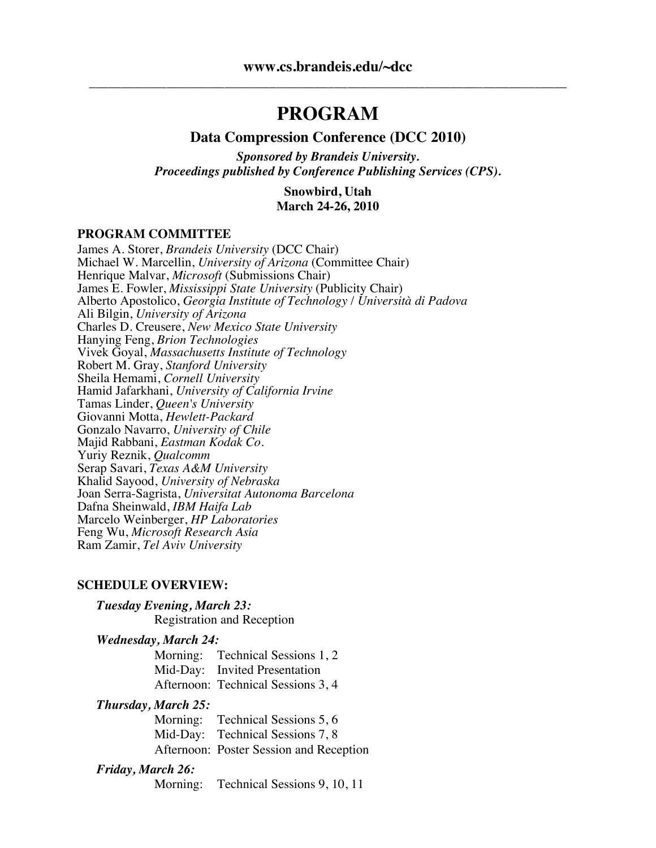# **PROGRAM**

#### **Data Compression Conference (DCC 2010)**

*Sponsored by Brandeis University. Proceedings published by Conference Publishing Services (CPS).*

> **Snowbird, Utah March 24-26, 2010**

#### **PROGRAM COMMITTEE**

James A. Storer, *Brandeis University* (DCC Chair) Michael W. Marcellin, *University of Arizona* (Committee Chair) Henrique Malvar, *Microsoft* (Submissions Chair) James E. Fowler, *Mississippi State University* (Publicity Chair) Alberto Apostolico, *Georgia Institute of Technology* / *Università di Padova* Ali Bilgin, *University of Arizona* Charles D. Creusere, *New Mexico State University* Hanying Feng, *Brion Technologies* Vivek Goyal, *Massachusetts Institute of Technology* Robert M. Gray, *Stanford University* Sheila Hemami, *Cornell University* Hamid Jafarkhani, *University of California Irvine* Tamas Linder, *Queen's University* Giovanni Motta, *Hewlett-Packard* Gonzalo Navarro, *University of Chile* Majid Rabbani, *Eastman Kodak Co.* Yuriy Reznik, *Qualcomm* Serap Savari, *Texas A&M University* Khalid Sayood, *University of Nebraska* Joan Serra-Sagrista, *Universitat Autonoma Barcelona* Dafna Sheinwald, *IBM Haifa Lab* Marcelo Weinberger, *HP Laboratories* Feng Wu, *Microsoft Research Asia* Ram Zamir, *Tel Aviv University*

#### **SCHEDULE OVERVIEW:**

| Tuesday Evening, March 23:        |
|-----------------------------------|
| <b>Registration and Reception</b> |

#### *Wednesday, March 24:*

Morning: Technical Sessions 1, 2 Mid-Day: Invited Presentation Afternoon: Technical Sessions 3, 4

#### *Thursday, March 25:*

| Morning: Technical Sessions 5, 6        |
|-----------------------------------------|
| Mid-Day: Technical Sessions 7, 8        |
| Afternoon: Poster Session and Reception |

#### *Friday, March 26:*

Morning: Technical Sessions 9, 10, 11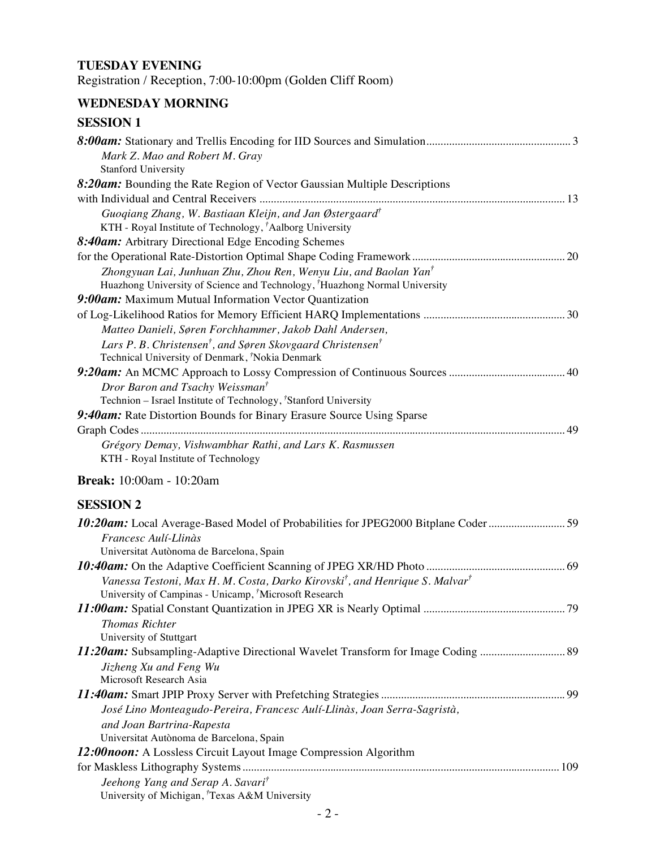## **TUESDAY EVENING**

Registration / Reception, 7:00-10:00pm (Golden Cliff Room)

## **WEDNESDAY MORNING**

| <b>SESSION 1</b>                                                                                    |
|-----------------------------------------------------------------------------------------------------|
| Mark Z. Mao and Robert M. Gray                                                                      |
| <b>Stanford University</b>                                                                          |
| 8:20am: Bounding the Rate Region of Vector Gaussian Multiple Descriptions                           |
|                                                                                                     |
| Guogiang Zhang, W. Bastiaan Kleijn, and Jan Østergaard <sup>†</sup>                                 |
| KTH - Royal Institute of Technology, <sup>†</sup> Aalborg University                                |
| 8:40am: Arbitrary Directional Edge Encoding Schemes                                                 |
|                                                                                                     |
| Zhongyuan Lai, Junhuan Zhu, Zhou Ren, Wenyu Liu, and Baolan Yan <sup>†</sup>                        |
| Huazhong University of Science and Technology, <sup>†</sup> Huazhong Normal University              |
| 9:00am: Maximum Mutual Information Vector Quantization                                              |
|                                                                                                     |
| Matteo Danieli, Søren Forchhammer, Jakob Dahl Andersen,                                             |
| Lars P. B. Christensen <sup>†</sup> , and Søren Skovgaard Christensen <sup>†</sup>                  |
| Technical University of Denmark, Nokia Denmark                                                      |
|                                                                                                     |
| Dror Baron and Tsachy Weissman <sup>†</sup>                                                         |
| Technion - Israel Institute of Technology, <sup>†</sup> Stanford University                         |
| 9:40am: Rate Distortion Bounds for Binary Erasure Source Using Sparse                               |
|                                                                                                     |
| Grégory Demay, Vishwambhar Rathi, and Lars K. Rasmussen<br>KTH - Royal Institute of Technology      |
| <b>Break:</b> 10:00am - 10:20am                                                                     |
| <b>SESSION 2</b>                                                                                    |
| 10:20am: Local Average-Based Model of Probabilities for JPEG2000 Bitplane Coder59                   |
| Francesc Aulí-Llinàs                                                                                |
| Universitat Autònoma de Barcelona, Spain                                                            |
|                                                                                                     |
| Vanessa Testoni, Max H. M. Costa, Darko Kirovski <sup>†</sup> , and Henrique S. Malvar <sup>†</sup> |
| University of Campinas - Unicamp, Microsoft Research                                                |
|                                                                                                     |
| <b>Thomas Richter</b>                                                                               |
| University of Stuttgart                                                                             |
| 11:20am: Subsampling-Adaptive Directional Wavelet Transform for Image Coding  89                    |
| Jizheng Xu and Feng Wu                                                                              |

| Microsoft Research Asia                                                  |  |
|--------------------------------------------------------------------------|--|
|                                                                          |  |
| José Lino Monteagudo-Pereira, Francesc Aulí-Llinàs, Joan Serra-Sagristà, |  |
| and Joan Bartrina-Rapesta                                                |  |
| Universitat Autònoma de Barcelona, Spain                                 |  |
| $12.00$ noon: A Lossless Circuit Lavout Image Compression Algorithm      |  |

| 12:00noon: A Lossless Circuit Layout Image Compression Algorithm |  |
|------------------------------------------------------------------|--|
|                                                                  |  |
| Jeehong Yang and Serap A. Savari <sup>†</sup>                    |  |
| University of Michigan, Texas A&M University                     |  |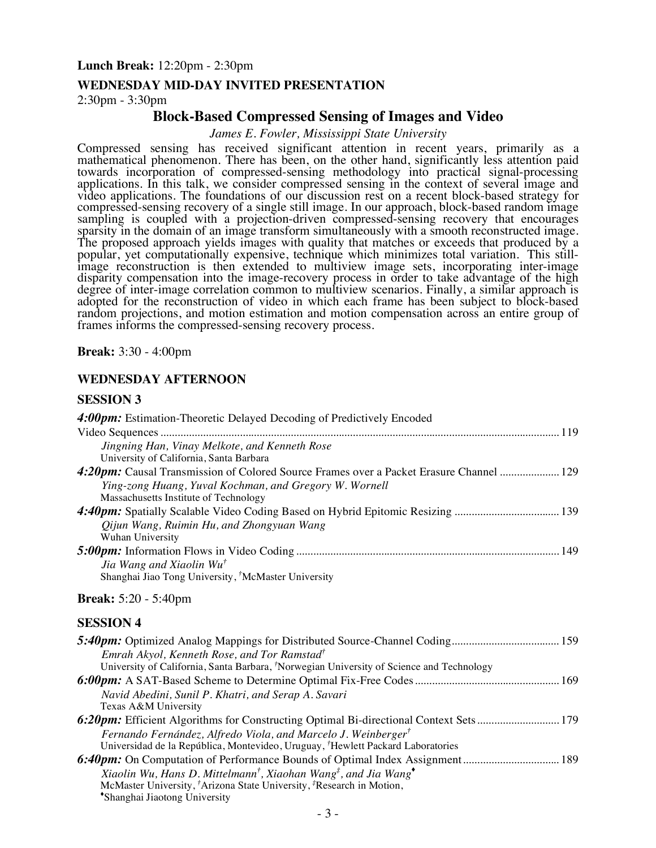#### **Lunch Break:** 12:20pm - 2:30pm

#### **WEDNESDAY MID-DAY INVITED PRESENTATION**

2:30pm - 3:30pm

#### **Block-Based Compressed Sensing of Images and Video**

*James E. Fowler, Mississippi State University*

Compressed sensing has received significant attention in recent years, primarily as a mathematical phenomenon. There has been, on the other hand, significantly less attention paid towards incorporation of compressed-sensing methodology into practical signal-processing applications. In this talk, we consider compressed sensing in the context of several image and video applications. The foundations of our discussion rest on a recent block-based strategy for compressed-sensing recovery of a single still image. In our approach, block-based random image sampling is coupled with a projection-driven compressed-sensing recovery that encourages sparsity in the domain of an image transform simultaneously with a smooth reconstructed image. The proposed approach yields images with quality that matches or exceeds that produced by a popular, yet computationally expensive, technique which minimizes total variation. This still- image reconstruction is then extended to multiview image sets, incorporating inter-image disparity compensation into the image-recovery process in order to take advantage of the high degree of inter-image correlation common to multiview scenarios. Finally, a similar approach is adopted for the reconstruction of video in which each frame has been subject to block-based random projections, and motion estimation and motion compensation across an entire group of frames informs the compressed-sensing recovery process.

**Break:** 3:30 - 4:00pm

#### **WEDNESDAY AFTERNOON**

#### **SESSION 3**

| 4:00pm: Estimation-Theoretic Delayed Decoding of Predictively Encoded                               |
|-----------------------------------------------------------------------------------------------------|
|                                                                                                     |
| Jingning Han, Vinay Melkote, and Kenneth Rose                                                       |
| University of California, Santa Barbara                                                             |
| 4:20pm: Causal Transmission of Colored Source Frames over a Packet Erasure Channel  129             |
| Ying-zong Huang, Yuval Kochman, and Gregory W. Wornell                                              |
| Massachusetts Institute of Technology                                                               |
| 4:40pm: Spatially Scalable Video Coding Based on Hybrid Epitomic Resizing  139                      |
| Qijun Wang, Ruimin Hu, and Zhongyuan Wang<br>Wuhan University                                       |
|                                                                                                     |
| Jia Wang and Xiaolin Wu <sup>†</sup>                                                                |
| Shanghai Jiao Tong University, <sup>†</sup> McMaster University                                     |
| <b>Break:</b> 5:20 - 5:40pm                                                                         |
| <b>SESSION 4</b>                                                                                    |
|                                                                                                     |
| Emrah Akyol, Kenneth Rose, and Tor Ramstad <sup>†</sup>                                             |
| University of California, Santa Barbara, 'Norwegian University of Science and Technology            |
|                                                                                                     |
| Navid Abedini, Sunil P. Khatri, and Serap A. Savari                                                 |
| Texas A&M University                                                                                |
| 6:20pm: Efficient Algorithms for Constructing Optimal Bi-directional Context Sets 179               |
| Fernando Fernández, Alfredo Viola, and Marcelo J. Weinberger <sup>†</sup>                           |
| Universidad de la República, Montevideo, Uruguay, <sup>†</sup> Hewlett Packard Laboratories         |
|                                                                                                     |
| Xiaolin Wu, Hans D. Mittelmann <sup>†</sup> , Xiaohan Wang <sup>‡</sup> , and Jia Wang <sup>*</sup> |
| McMaster University, <sup>†</sup> Arizona State University, <sup>‡</sup> Research in Motion,        |
| *Shanghai Jiaotong University                                                                       |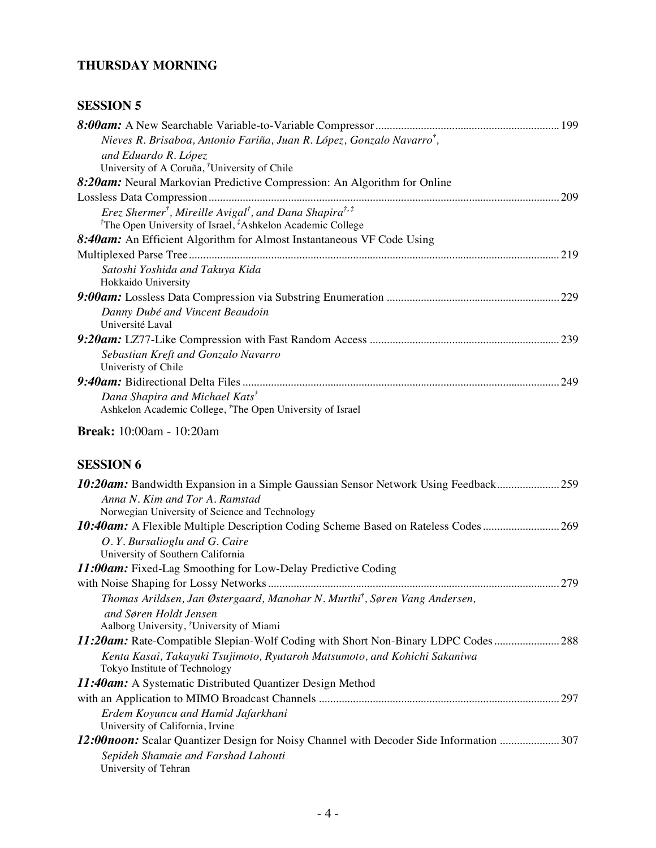## **THURSDAY MORNING**

## **SESSION 5**

| Nieves R. Brisaboa, Antonio Fariña, Juan R. López, Gonzalo Navarro <sup>†</sup> ,                                                                                                |
|----------------------------------------------------------------------------------------------------------------------------------------------------------------------------------|
| and Eduardo R. López                                                                                                                                                             |
| University of A Coruña, <sup>†</sup> University of Chile                                                                                                                         |
| 8:20am: Neural Markovian Predictive Compression: An Algorithm for Online                                                                                                         |
| .209                                                                                                                                                                             |
| Erez Shermer <sup>†</sup> , Mireille Avigal <sup>†</sup> , and Dana Shapira <sup>†,‡</sup><br><sup>†</sup> The Open University of Israel, <sup>‡</sup> Ashkelon Academic College |
| 8:40am: An Efficient Algorithm for Almost Instantaneous VF Code Using                                                                                                            |
|                                                                                                                                                                                  |
| Satoshi Yoshida and Takuya Kida                                                                                                                                                  |
| Hokkaido University                                                                                                                                                              |
|                                                                                                                                                                                  |
| Danny Dubé and Vincent Beaudoin                                                                                                                                                  |
| Université Laval                                                                                                                                                                 |
|                                                                                                                                                                                  |
| Sebastian Kreft and Gonzalo Navarro                                                                                                                                              |
| Univeristy of Chile                                                                                                                                                              |
|                                                                                                                                                                                  |
| Dana Shapira and Michael Kats <sup>†</sup>                                                                                                                                       |
| Ashkelon Academic College, <sup><i>†</i></sup> The Open University of Israel                                                                                                     |
| <b>Break:</b> 10:00am - 10:20am                                                                                                                                                  |

## **SESSION 6**

| Anna N. Kim and Tor A. Ramstad                                                           |      |
|------------------------------------------------------------------------------------------|------|
| Norwegian University of Science and Technology                                           |      |
|                                                                                          | .269 |
| O.Y. Bursalioglu and G. Caire                                                            |      |
| University of Southern California                                                        |      |
| <b>11:00am:</b> Fixed-Lag Smoothing for Low-Delay Predictive Coding                      |      |
|                                                                                          | 279  |
| Thomas Arildsen, Jan Østergaard, Manohar N. Murthi <sup>†</sup> , Søren Vang Andersen,   |      |
| and Søren Holdt Jensen                                                                   |      |
| Aalborg University, <sup>†</sup> University of Miami                                     |      |
| 11:20am: Rate-Compatible Slepian-Wolf Coding with Short Non-Binary LDPC Codes            | .288 |
| Kenta Kasai, Takayuki Tsujimoto, Ryutaroh Matsumoto, and Kohichi Sakaniwa                |      |
| Tokyo Institute of Technology                                                            |      |
| <b>11:40am:</b> A Systematic Distributed Quantizer Design Method                         |      |
|                                                                                          | .297 |
| Erdem Koyuncu and Hamid Jafarkhani                                                       |      |
| University of California, Irvine                                                         |      |
| 12:00 noon: Scalar Quantizer Design for Noisy Channel with Decoder Side Information  307 |      |
| Sepideh Shamaie and Farshad Lahouti                                                      |      |
| University of Tehran                                                                     |      |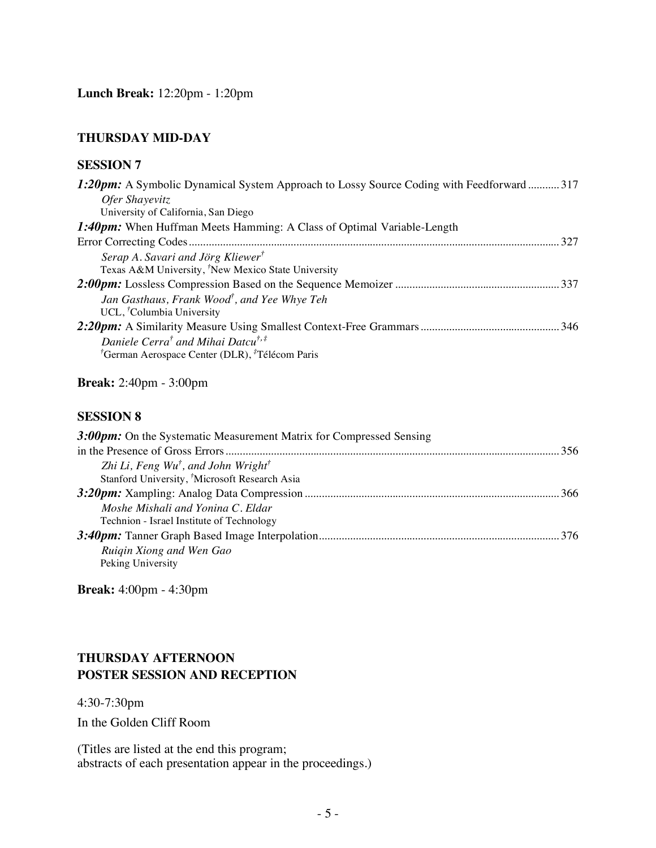## **THURSDAY MID-DAY**

#### **SESSION 7**

| 1:20pm: A Symbolic Dynamical System Approach to Lossy Source Coding with Feedforward 317 |     |
|------------------------------------------------------------------------------------------|-----|
| Ofer Shayevitz                                                                           |     |
| University of California, San Diego                                                      |     |
| <b>1:40pm:</b> When Huffman Meets Hamming: A Class of Optimal Variable-Length            |     |
|                                                                                          | 327 |
| Serap A. Savari and Jörg Kliewer <sup>†</sup>                                            |     |
| Texas A&M University, <sup>†</sup> New Mexico State University                           |     |
|                                                                                          |     |
| Jan Gasthaus, Frank Wood <sup>†</sup> , and Yee Whye Teh                                 |     |
| UCL, <sup>†</sup> Columbia University                                                    |     |
|                                                                                          |     |
| Daniele Cerra <sup>†</sup> and Mihai Datcu <sup>†,‡</sup>                                |     |
| <sup>†</sup> German Aerospace Center (DLR), <sup>‡</sup> Télécom Paris                   |     |

**Break:** 2:40pm - 3:00pm

#### **SESSION 8**

| 3:00pm: On the Systematic Measurement Matrix for Compressed Sensing |  |
|---------------------------------------------------------------------|--|
| -356                                                                |  |
| Zhi Li, Feng Wu <sup>†</sup> , and John Wright <sup>†</sup>         |  |
| Stanford University, <sup>†</sup> Microsoft Research Asia           |  |
| -366                                                                |  |
| Moshe Mishali and Yonina C. Eldar                                   |  |
| Technion - Israel Institute of Technology                           |  |
|                                                                     |  |
| Ruigin Xiong and Wen Gao                                            |  |
| Peking University                                                   |  |

**Break:** 4:00pm - 4:30pm

### **THURSDAY AFTERNOON POSTER SESSION AND RECEPTION**

4:30-7:30pm

In the Golden Cliff Room

(Titles are listed at the end this program; abstracts of each presentation appear in the proceedings.)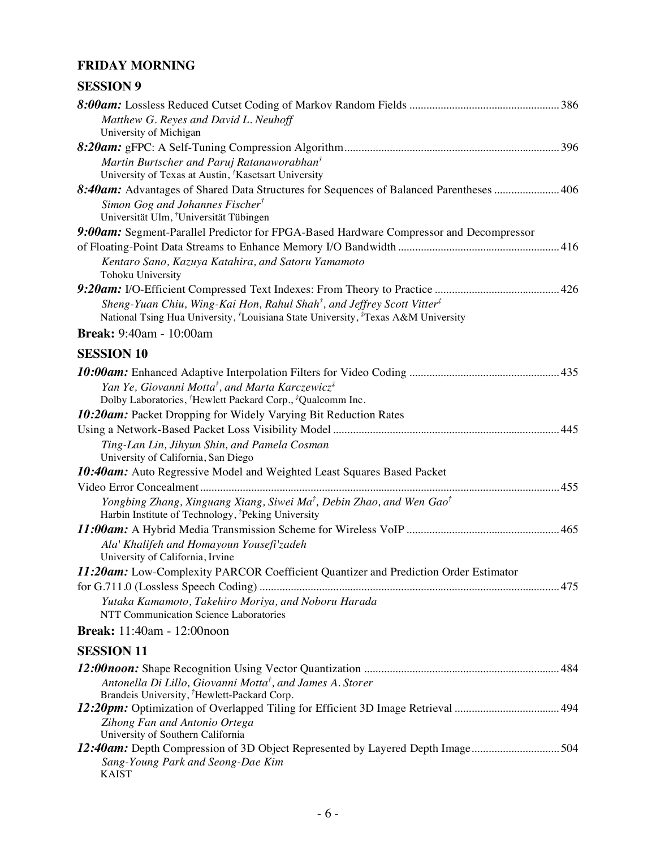## **FRIDAY MORNING**

| <b>SESSION 9</b> |  |
|------------------|--|
|------------------|--|

| Matthew G. Reyes and David L. Neuhoff<br>University of Michigan                                                                                                                                             |  |
|-------------------------------------------------------------------------------------------------------------------------------------------------------------------------------------------------------------|--|
|                                                                                                                                                                                                             |  |
| Martin Burtscher and Paruj Ratanaworabhan <sup>†</sup><br>University of Texas at Austin, <sup>†</sup> Kasetsart University                                                                                  |  |
| 8:40am: Advantages of Shared Data Structures for Sequences of Balanced Parentheses  406                                                                                                                     |  |
| Simon Gog and Johannes Fischer <sup>†</sup><br>Universität Ulm, <sup>†</sup> Universität Tübingen                                                                                                           |  |
| 9:00am: Segment-Parallel Predictor for FPGA-Based Hardware Compressor and Decompressor                                                                                                                      |  |
|                                                                                                                                                                                                             |  |
| Kentaro Sano, Kazuya Katahira, and Satoru Yamamoto<br>Tohoku University                                                                                                                                     |  |
|                                                                                                                                                                                                             |  |
| Sheng-Yuan Chiu, Wing-Kai Hon, Rahul Shah <sup>†</sup> , and Jeffrey Scott Vitter <sup>‡</sup><br>National Tsing Hua University, <sup>†</sup> Louisiana State University, <sup>‡</sup> Texas A&M University |  |
| <b>Break:</b> 9:40am - 10:00am                                                                                                                                                                              |  |
| <b>SESSION 10</b>                                                                                                                                                                                           |  |
|                                                                                                                                                                                                             |  |
| Yan Ye, Giovanni Motta <sup>†</sup> , and Marta Karczewicz <sup>‡</sup>                                                                                                                                     |  |
| Dolby Laboratories, <sup>†</sup> Hewlett Packard Corp., <sup>‡</sup> Qualcomm Inc.                                                                                                                          |  |
| 10:20am: Packet Dropping for Widely Varying Bit Reduction Rates                                                                                                                                             |  |
|                                                                                                                                                                                                             |  |
| Ting-Lan Lin, Jihyun Shin, and Pamela Cosman<br>University of California, San Diego                                                                                                                         |  |
| <b>10:40am:</b> Auto Regressive Model and Weighted Least Squares Based Packet                                                                                                                               |  |
|                                                                                                                                                                                                             |  |
| Yongbing Zhang, Xinguang Xiang, Siwei Ma <sup>†</sup> , Debin Zhao, and Wen Gao <sup>†</sup><br>Harbin Institute of Technology, <sup>†</sup> Peking University                                              |  |
|                                                                                                                                                                                                             |  |
| Ala' Khalifeh and Homayoun Yousefi'zadeh<br>University of California, Irvine                                                                                                                                |  |
| 11:20am: Low-Complexity PARCOR Coefficient Quantizer and Prediction Order Estimator                                                                                                                         |  |
|                                                                                                                                                                                                             |  |
| Yutaka Kamamoto, Takehiro Moriya, and Noboru Harada<br>NTT Communication Science Laboratories                                                                                                               |  |
| <b>Break:</b> 11:40am - 12:00noon                                                                                                                                                                           |  |
| <b>SESSION 11</b>                                                                                                                                                                                           |  |
|                                                                                                                                                                                                             |  |
| Antonella Di Lillo, Giovanni Motta <sup>†</sup> , and James A. Storer<br>Brandeis University, 'Hewlett-Packard Corp.                                                                                        |  |
|                                                                                                                                                                                                             |  |
| Zihong Fan and Antonio Ortega<br>University of Southern California                                                                                                                                          |  |
| 12:40am: Depth Compression of 3D Object Represented by Layered Depth Image504                                                                                                                               |  |
| Sang-Young Park and Seong-Dae Kim<br><b>KAIST</b>                                                                                                                                                           |  |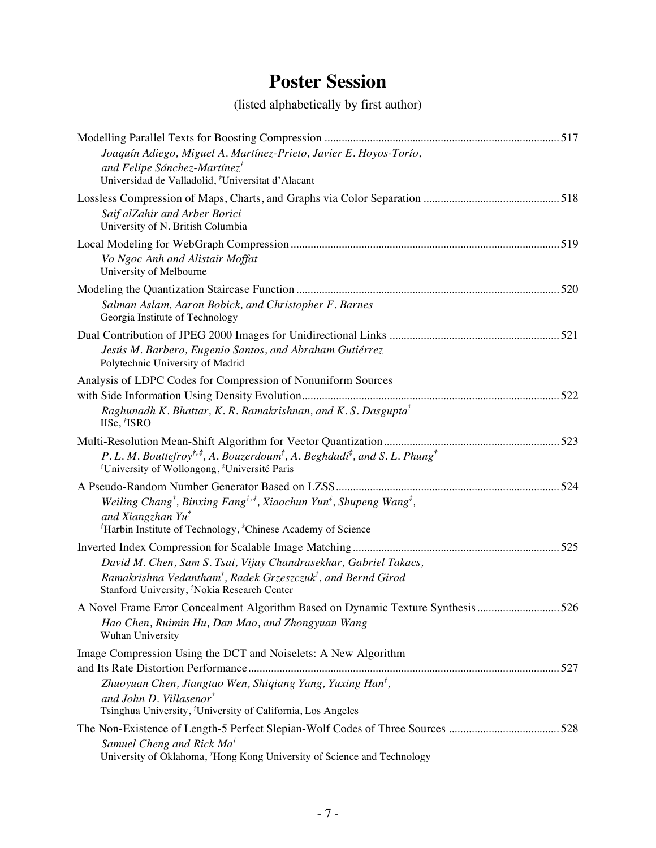# **Poster Session**

(listed alphabetically by first author)

| Joaquín Adiego, Miguel A. Martínez-Prieto, Javier E. Hoyos-Torío,<br>and Felipe Sánchez-Martínez <sup>†</sup><br>Universidad de Valladolid, <sup>†</sup> Universitat d'Alacant                                                                                               |  |
|------------------------------------------------------------------------------------------------------------------------------------------------------------------------------------------------------------------------------------------------------------------------------|--|
| Saif alZahir and Arber Borici<br>University of N. British Columbia                                                                                                                                                                                                           |  |
| Vo Ngoc Anh and Alistair Moffat<br>University of Melbourne                                                                                                                                                                                                                   |  |
| Salman Aslam, Aaron Bobick, and Christopher F. Barnes<br>Georgia Institute of Technology                                                                                                                                                                                     |  |
| Jesús M. Barbero, Eugenio Santos, and Abraham Gutiérrez<br>Polytechnic University of Madrid                                                                                                                                                                                  |  |
| Analysis of LDPC Codes for Compression of Nonuniform Sources<br>Raghunadh K. Bhattar, K. R. Ramakrishnan, and K. S. Dasgupta <sup>†</sup><br>IISc, 'ISRO                                                                                                                     |  |
| P. L. M. Bouttefroy <sup>†,‡</sup> , A. Bouzerdoum <sup>†</sup> , A. Beghdadi <sup>‡</sup> , and S. L. Phung <sup>†</sup><br><sup>†</sup> University of Wollongong, <sup>‡</sup> Université Paris                                                                            |  |
| Weiling Chang <sup>†</sup> , Binxing Fang <sup>†,‡</sup> , Xiaochun Yun <sup>‡</sup> , Shupeng Wang <sup>‡</sup> ,<br>and Xiangzhan Yu <sup>†</sup><br><sup>†</sup> Harbin Institute of Technology, <sup>‡</sup> Chinese Academy of Science                                  |  |
| David M. Chen, Sam S. Tsai, Vijay Chandrasekhar, Gabriel Takacs,<br>Ramakrishna Vedantham <sup>†</sup> , Radek Grzeszczuk <sup>†</sup> , and Bernd Girod<br>Stanford University, <sup><i>'</i></sup> Nokia Research Center                                                   |  |
| A Novel Frame Error Concealment Algorithm Based on Dynamic Texture Synthesis 526<br>Hao Chen, Ruimin Hu, Dan Mao, and Zhongyuan Wang<br>Wuhan University                                                                                                                     |  |
| Image Compression Using the DCT and Noiselets: A New Algorithm<br>Zhuoyuan Chen, Jiangtao Wen, Shiqiang Yang, Yuxing Han <sup>†</sup> ,<br>and John D. Villasenor <sup>†</sup>                                                                                               |  |
| Tsinghua University, <sup>†</sup> University of California, Los Angeles<br>The Non-Existence of Length-5 Perfect Slepian-Wolf Codes of Three Sources 528<br>Samuel Cheng and Rick Ma <sup>†</sup><br>University of Oklahoma, 'Hong Kong University of Science and Technology |  |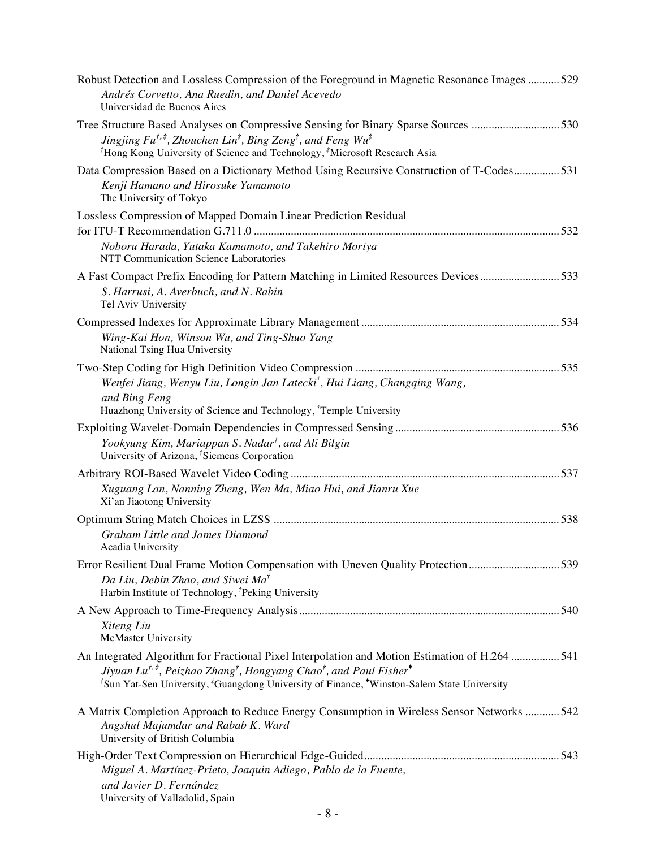| Robust Detection and Lossless Compression of the Foreground in Magnetic Resonance Images  529<br>Andrés Corvetto, Ana Ruedin, and Daniel Acevedo<br>Universidad de Buenos Aires                                                                                                                                                            |
|--------------------------------------------------------------------------------------------------------------------------------------------------------------------------------------------------------------------------------------------------------------------------------------------------------------------------------------------|
| Tree Structure Based Analyses on Compressive Sensing for Binary Sparse Sources 530<br>Jingjing $Fu^{\dagger,\ddag}$ , Zhouchen Lin <sup><math>\ddag</math></sup> , Bing Zeng <sup>†</sup> , and Feng Wu <sup><math>\ddag</math></sup><br><sup>†</sup> Hong Kong University of Science and Technology, <sup>‡</sup> Microsoft Research Asia |
| Data Compression Based on a Dictionary Method Using Recursive Construction of T-Codes 531<br>Kenji Hamano and Hirosuke Yamamoto<br>The University of Tokyo                                                                                                                                                                                 |
| Lossless Compression of Mapped Domain Linear Prediction Residual<br>Noboru Harada, Yutaka Kamamoto, and Takehiro Moriya<br>NTT Communication Science Laboratories                                                                                                                                                                          |
| A Fast Compact Prefix Encoding for Pattern Matching in Limited Resources Devices533<br>S. Harrusi, A. Averbuch, and N. Rabin<br>Tel Aviv University                                                                                                                                                                                        |
| Wing-Kai Hon, Winson Wu, and Ting-Shuo Yang<br>National Tsing Hua University                                                                                                                                                                                                                                                               |
| Wenfei Jiang, Wenyu Liu, Longin Jan Latecki <sup>†</sup> , Hui Liang, Changging Wang,<br>and Bing Feng<br>Huazhong University of Science and Technology, <sup>†</sup> Temple University                                                                                                                                                    |
| Yookyung Kim, Mariappan S. Nadar <sup>†</sup> , and Ali Bilgin<br>University of Arizona, 'Siemens Corporation                                                                                                                                                                                                                              |
| Xuguang Lan, Nanning Zheng, Wen Ma, Miao Hui, and Jianru Xue<br>Xi'an Jiaotong University                                                                                                                                                                                                                                                  |
| <b>Graham Little and James Diamond</b><br>Acadia University                                                                                                                                                                                                                                                                                |
| Error Resilient Dual Frame Motion Compensation with Uneven Quality Protection539<br>Da Liu, Debin Zhao, and Siwei Ma <sup>†</sup><br>Harbin Institute of Technology, <sup>†</sup> Peking University                                                                                                                                        |
| Xiteng Liu<br>McMaster University                                                                                                                                                                                                                                                                                                          |
| An Integrated Algorithm for Fractional Pixel Interpolation and Motion Estimation of H.264 541<br>Jiyuan Lu <sup>†,‡</sup> , Peizhao Zhang <sup>†</sup> , Hongyang Chao <sup>†</sup> , and Paul Fisher <sup>•</sup><br><sup>†</sup> Sun Yat-Sen University, <sup>‡</sup> Guangdong University of Finance, *Winston-Salem State University   |
| A Matrix Completion Approach to Reduce Energy Consumption in Wireless Sensor Networks  542<br>Angshul Majumdar and Rabab K. Ward<br>University of British Columbia                                                                                                                                                                         |
| Miguel A. Martínez-Prieto, Joaquin Adiego, Pablo de la Fuente,<br>and Javier D. Fernández<br>University of Valladolid, Spain                                                                                                                                                                                                               |